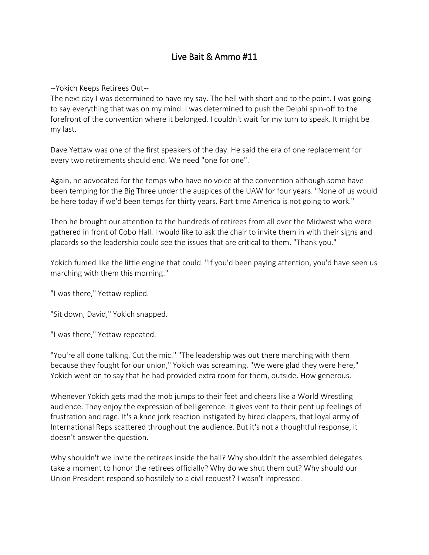# Live Bait & Ammo #11

--Yokich Keeps Retirees Out--

The next day I was determined to have my say. The hell with short and to the point. I was going to say everything that was on my mind. I was determined to push the Delphi spin-off to the forefront of the convention where it belonged. I couldn't wait for my turn to speak. It might be my last.

Dave Yettaw was one of the first speakers of the day. He said the era of one replacement for every two retirements should end. We need "one for one".

Again, he advocated for the temps who have no voice at the convention although some have been temping for the Big Three under the auspices of the UAW for four years. "None of us would be here today if we'd been temps for thirty years. Part time America is not going to work."

Then he brought our attention to the hundreds of retirees from all over the Midwest who were gathered in front of Cobo Hall. I would like to ask the chair to invite them in with their signs and placards so the leadership could see the issues that are critical to them. "Thank you."

Yokich fumed like the little engine that could. "If you'd been paying attention, you'd have seen us marching with them this morning."

"I was there," Yettaw replied.

"Sit down, David," Yokich snapped.

"I was there," Yettaw repeated.

"You're all done talking. Cut the mic." "The leadership was out there marching with them because they fought for our union," Yokich was screaming. "We were glad they were here," Yokich went on to say that he had provided extra room for them, outside. How generous.

Whenever Yokich gets mad the mob jumps to their feet and cheers like a World Wrestling audience. They enjoy the expression of belligerence. It gives vent to their pent up feelings of frustration and rage. It's a knee jerk reaction instigated by hired clappers, that loyal army of International Reps scattered throughout the audience. But it's not a thoughtful response, it doesn't answer the question.

Why shouldn't we invite the retirees inside the hall? Why shouldn't the assembled delegates take a moment to honor the retirees officially? Why do we shut them out? Why should our Union President respond so hostilely to a civil request? I wasn't impressed.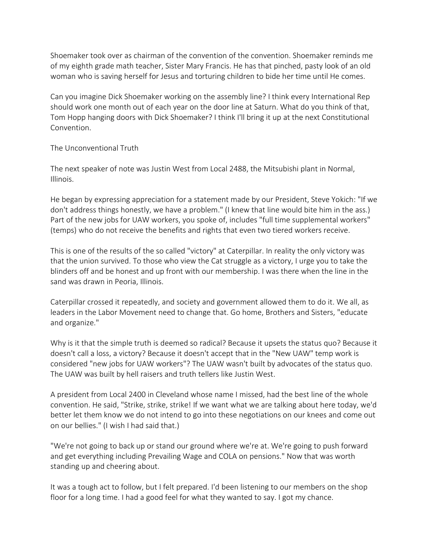Shoemaker took over as chairman of the convention of the convention. Shoemaker reminds me of my eighth grade math teacher, Sister Mary Francis. He has that pinched, pasty look of an old woman who is saving herself for Jesus and torturing children to bide her time until He comes.

Can you imagine Dick Shoemaker working on the assembly line? I think every International Rep should work one month out of each year on the door line at Saturn. What do you think of that, Tom Hopp hanging doors with Dick Shoemaker? I think I'll bring it up at the next Constitutional Convention.

The Unconventional Truth

The next speaker of note was Justin West from Local 2488, the Mitsubishi plant in Normal, Illinois.

He began by expressing appreciation for a statement made by our President, Steve Yokich: "If we don't address things honestly, we have a problem." (I knew that line would bite him in the ass.) Part of the new jobs for UAW workers, you spoke of, includes "full time supplemental workers" (temps) who do not receive the benefits and rights that even two tiered workers receive.

This is one of the results of the so called "victory" at Caterpillar. In reality the only victory was that the union survived. To those who view the Cat struggle as a victory, I urge you to take the blinders off and be honest and up front with our membership. I was there when the line in the sand was drawn in Peoria, Illinois.

Caterpillar crossed it repeatedly, and society and government allowed them to do it. We all, as leaders in the Labor Movement need to change that. Go home, Brothers and Sisters, "educate and organize."

Why is it that the simple truth is deemed so radical? Because it upsets the status quo? Because it doesn't call a loss, a victory? Because it doesn't accept that in the "New UAW" temp work is considered "new jobs for UAW workers"? The UAW wasn't built by advocates of the status quo. The UAW was built by hell raisers and truth tellers like Justin West.

A president from Local 2400 in Cleveland whose name I missed, had the best line of the whole convention. He said, "Strike, strike, strike! If we want what we are talking about here today, we'd better let them know we do not intend to go into these negotiations on our knees and come out on our bellies." (I wish I had said that.)

"We're not going to back up or stand our ground where we're at. We're going to push forward and get everything including Prevailing Wage and COLA on pensions." Now that was worth standing up and cheering about.

It was a tough act to follow, but I felt prepared. I'd been listening to our members on the shop floor for a long time. I had a good feel for what they wanted to say. I got my chance.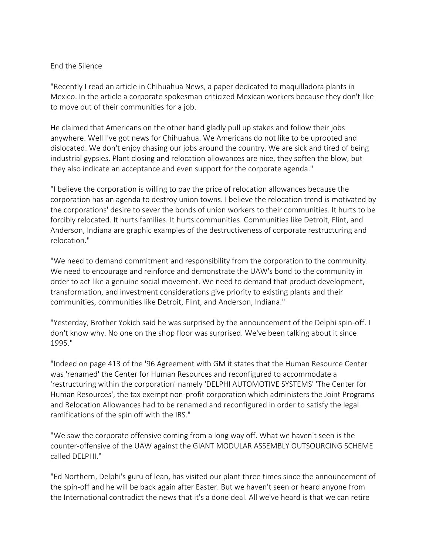#### End the Silence

"Recently I read an article in Chihuahua News, a paper dedicated to maquilladora plants in Mexico. In the article a corporate spokesman criticized Mexican workers because they don't like to move out of their communities for a job.

He claimed that Americans on the other hand gladly pull up stakes and follow their jobs anywhere. Well I've got news for Chihuahua. We Americans do not like to be uprooted and dislocated. We don't enjoy chasing our jobs around the country. We are sick and tired of being industrial gypsies. Plant closing and relocation allowances are nice, they soften the blow, but they also indicate an acceptance and even support for the corporate agenda."

"I believe the corporation is willing to pay the price of relocation allowances because the corporation has an agenda to destroy union towns. I believe the relocation trend is motivated by the corporations' desire to sever the bonds of union workers to their communities. It hurts to be forcibly relocated. It hurts families. It hurts communities. Communities like Detroit, Flint, and Anderson, Indiana are graphic examples of the destructiveness of corporate restructuring and relocation."

"We need to demand commitment and responsibility from the corporation to the community. We need to encourage and reinforce and demonstrate the UAW's bond to the community in order to act like a genuine social movement. We need to demand that product development, transformation, and investment considerations give priority to existing plants and their communities, communities like Detroit, Flint, and Anderson, Indiana."

"Yesterday, Brother Yokich said he was surprised by the announcement of the Delphi spin-off. I don't know why. No one on the shop floor was surprised. We've been talking about it since 1995."

"Indeed on page 413 of the '96 Agreement with GM it states that the Human Resource Center was 'renamed' the Center for Human Resources and reconfigured to accommodate a 'restructuring within the corporation' namely 'DELPHI AUTOMOTIVE SYSTEMS' 'The Center for Human Resources', the tax exempt non-profit corporation which administers the Joint Programs and Relocation Allowances had to be renamed and reconfigured in order to satisfy the legal ramifications of the spin off with the IRS."

"We saw the corporate offensive coming from a long way off. What we haven't seen is the counter-offensive of the UAW against the GIANT MODULAR ASSEMBLY OUTSOURCING SCHEME called DELPHI."

"Ed Northern, Delphi's guru of lean, has visited our plant three times since the announcement of the spin-off and he will be back again after Easter. But we haven't seen or heard anyone from the International contradict the news that it's a done deal. All we've heard is that we can retire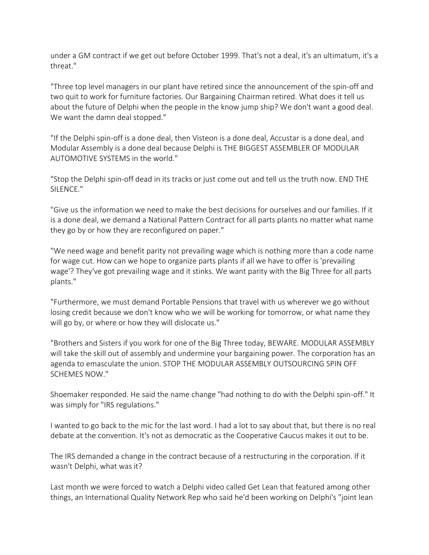under a GM contract if we get out before October 1999. That's not a deal, it's an ultimatum, it's a threat."

"Three top level managers in our plant have retired since the announcement of the spin-off and two quit to work for furniture factories. Our Bargaining Chairman retired. What does it tell us about the future of Delphi when the people in the know jump ship? We don't want a good deal. We want the damn deal stopped."

"If the Delphi spin-off is a done deal, then Visteon is a done deal, Accustar is a done deal, and Modular Assembly is a done deal because Delphi is THE BIGGEST ASSEMBLER OF MODULAR AUTOMOTIVE SYSTEMS in the world."

"Stop the Delphi spin-off dead in its tracks or just come out and tell us the truth now. END THE SILENCE."

"Give us the information we need to make the best decisions for ourselves and our families. If it is a done deal, we demand a National Pattern Contract for all parts plants no matter what name they go by or how they are reconfigured on paper."

"We need wage and benefit parity not prevailing wage which is nothing more than a code name for wage cut. How can we hope to organize parts plants if all we have to offer is 'prevailing wage'? They've got prevailing wage and it stinks. We want parity with the Big Three for all parts plants."

"Furthermore, we must demand Portable Pensions that travel with us wherever we go without losing credit because we don't know who we will be working for tomorrow, or what name they will go by, or where or how they will dislocate us."

"Brothers and Sisters if you work for one of the Big Three today, BEWARE. MODULAR ASSEMBLY will take the skill out of assembly and undermine your bargaining power. The corporation has an agenda to emasculate the union. STOP THE MODULAR ASSEMBLY OUTSOURCING SPIN OFF SCHEMES NOW."

Shoemaker responded. He said the name change "had nothing to do with the Delphi spin-off." It was simply for "IRS regulations."

I wanted to go back to the mic for the last word. I had a lot to say about that, but there is no real debate at the convention. It's not as democratic as the Cooperative Caucus makes it out to be.

The IRS demanded a change in the contract because of a restructuring in the corporation. If it wasn't Delphi, what was it?

Last month we were forced to watch a Delphi video called Get Lean that featured among other things, an International Quality Network Rep who said he'd been working on Delphi's "joint lean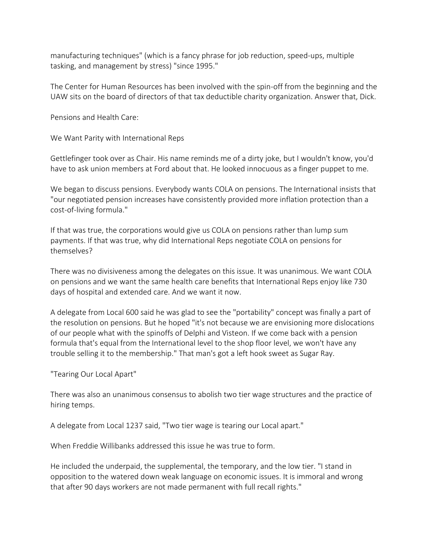manufacturing techniques" (which is a fancy phrase for job reduction, speed-ups, multiple tasking, and management by stress) "since 1995."

The Center for Human Resources has been involved with the spin-off from the beginning and the UAW sits on the board of directors of that tax deductible charity organization. Answer that, Dick.

Pensions and Health Care:

We Want Parity with International Reps

Gettlefinger took over as Chair. His name reminds me of a dirty joke, but I wouldn't know, you'd have to ask union members at Ford about that. He looked innocuous as a finger puppet to me.

We began to discuss pensions. Everybody wants COLA on pensions. The International insists that "our negotiated pension increases have consistently provided more inflation protection than a cost-of-living formula."

If that was true, the corporations would give us COLA on pensions rather than lump sum payments. If that was true, why did International Reps negotiate COLA on pensions for themselves?

There was no divisiveness among the delegates on this issue. It was unanimous. We want COLA on pensions and we want the same health care benefits that International Reps enjoy like 730 days of hospital and extended care. And we want it now.

A delegate from Local 600 said he was glad to see the "portability" concept was finally a part of the resolution on pensions. But he hoped "it's not because we are envisioning more dislocations of our people what with the spinoffs of Delphi and Visteon. If we come back with a pension formula that's equal from the International level to the shop floor level, we won't have any trouble selling it to the membership." That man's got a left hook sweet as Sugar Ray.

"Tearing Our Local Apart"

There was also an unanimous consensus to abolish two tier wage structures and the practice of hiring temps.

A delegate from Local 1237 said, "Two tier wage is tearing our Local apart."

When Freddie Willibanks addressed this issue he was true to form.

He included the underpaid, the supplemental, the temporary, and the low tier. "I stand in opposition to the watered down weak language on economic issues. It is immoral and wrong that after 90 days workers are not made permanent with full recall rights."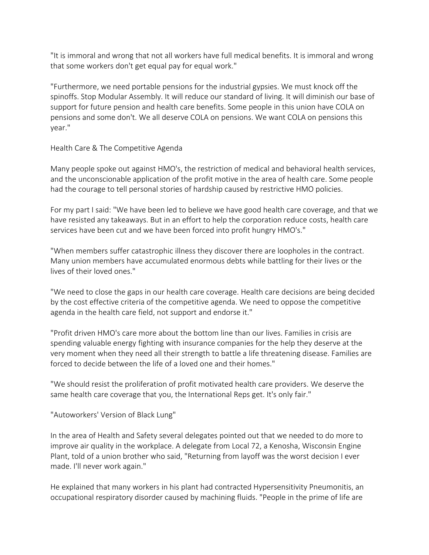"It is immoral and wrong that not all workers have full medical benefits. It is immoral and wrong that some workers don't get equal pay for equal work."

"Furthermore, we need portable pensions for the industrial gypsies. We must knock off the spinoffs. Stop Modular Assembly. It will reduce our standard of living. It will diminish our base of support for future pension and health care benefits. Some people in this union have COLA on pensions and some don't. We all deserve COLA on pensions. We want COLA on pensions this year."

Health Care & The Competitive Agenda

Many people spoke out against HMO's, the restriction of medical and behavioral health services, and the unconscionable application of the profit motive in the area of health care. Some people had the courage to tell personal stories of hardship caused by restrictive HMO policies.

For my part I said: "We have been led to believe we have good health care coverage, and that we have resisted any takeaways. But in an effort to help the corporation reduce costs, health care services have been cut and we have been forced into profit hungry HMO's."

"When members suffer catastrophic illness they discover there are loopholes in the contract. Many union members have accumulated enormous debts while battling for their lives or the lives of their loved ones."

"We need to close the gaps in our health care coverage. Health care decisions are being decided by the cost effective criteria of the competitive agenda. We need to oppose the competitive agenda in the health care field, not support and endorse it."

"Profit driven HMO's care more about the bottom line than our lives. Families in crisis are spending valuable energy fighting with insurance companies for the help they deserve at the very moment when they need all their strength to battle a life threatening disease. Families are forced to decide between the life of a loved one and their homes."

"We should resist the proliferation of profit motivated health care providers. We deserve the same health care coverage that you, the International Reps get. It's only fair."

"Autoworkers' Version of Black Lung"

In the area of Health and Safety several delegates pointed out that we needed to do more to improve air quality in the workplace. A delegate from Local 72, a Kenosha, Wisconsin Engine Plant, told of a union brother who said, "Returning from layoff was the worst decision I ever made. I'll never work again."

He explained that many workers in his plant had contracted Hypersensitivity Pneumonitis, an occupational respiratory disorder caused by machining fluids. "People in the prime of life are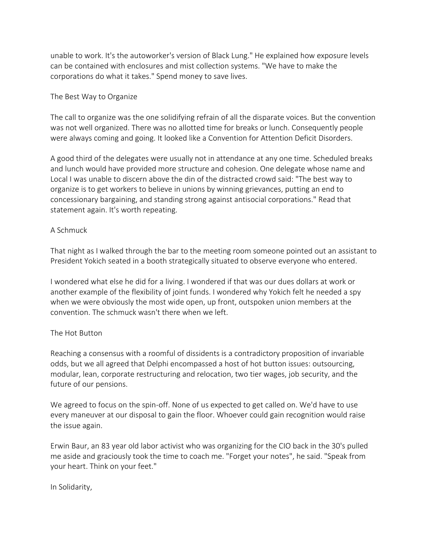unable to work. It's the autoworker's version of Black Lung." He explained how exposure levels can be contained with enclosures and mist collection systems. "We have to make the corporations do what it takes." Spend money to save lives.

### The Best Way to Organize

The call to organize was the one solidifying refrain of all the disparate voices. But the convention was not well organized. There was no allotted time for breaks or lunch. Consequently people were always coming and going. It looked like a Convention for Attention Deficit Disorders.

A good third of the delegates were usually not in attendance at any one time. Scheduled breaks and lunch would have provided more structure and cohesion. One delegate whose name and Local I was unable to discern above the din of the distracted crowd said: "The best way to organize is to get workers to believe in unions by winning grievances, putting an end to concessionary bargaining, and standing strong against antisocial corporations." Read that statement again. It's worth repeating.

### A Schmuck

That night as I walked through the bar to the meeting room someone pointed out an assistant to President Yokich seated in a booth strategically situated to observe everyone who entered.

I wondered what else he did for a living. I wondered if that was our dues dollars at work or another example of the flexibility of joint funds. I wondered why Yokich felt he needed a spy when we were obviously the most wide open, up front, outspoken union members at the convention. The schmuck wasn't there when we left.

## The Hot Button

Reaching a consensus with a roomful of dissidents is a contradictory proposition of invariable odds, but we all agreed that Delphi encompassed a host of hot button issues: outsourcing, modular, lean, corporate restructuring and relocation, two tier wages, job security, and the future of our pensions.

We agreed to focus on the spin-off. None of us expected to get called on. We'd have to use every maneuver at our disposal to gain the floor. Whoever could gain recognition would raise the issue again.

Erwin Baur, an 83 year old labor activist who was organizing for the CIO back in the 30's pulled me aside and graciously took the time to coach me. "Forget your notes", he said. "Speak from your heart. Think on your feet."

In Solidarity,